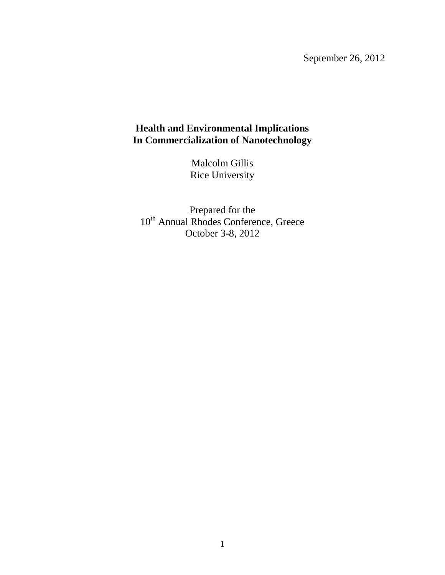September 26, 2012

## **Health and Environmental Implications In Commercialization of Nanotechnology**

Malcolm Gillis Rice University

Prepared for the 10<sup>th</sup> Annual Rhodes Conference, Greece October 3-8, 2012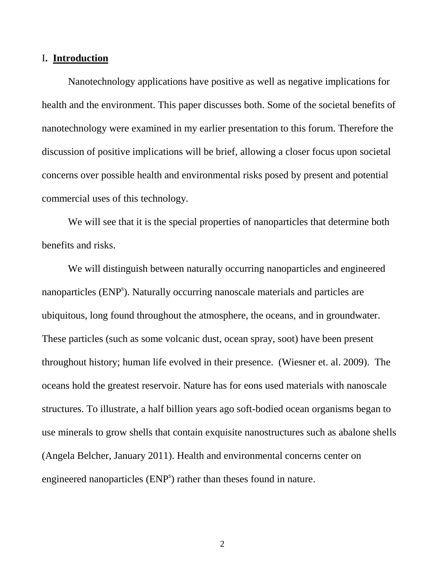## I**. Introduction**

Nanotechnology applications have positive as well as negative implications for health and the environment. This paper discusses both. Some of the societal benefits of nanotechnology were examined in my earlier presentation to this forum. Therefore the discussion of positive implications will be brief, allowing a closer focus upon societal concerns over possible health and environmental risks posed by present and potential commercial uses of this technology.

We will see that it is the special properties of nanoparticles that determine both benefits and risks.

We will distinguish between naturally occurring nanoparticles and engineered nanoparticles (ENP<sup>s</sup>). Naturally occurring nanoscale materials and particles are ubiquitous, long found throughout the atmosphere, the oceans, and in groundwater. These particles (such as some volcanic dust, ocean spray, soot) have been present throughout history; human life evolved in their presence. (Wiesner et. al. 2009). The oceans hold the greatest reservoir. Nature has for eons used materials with nanoscale structures. To illustrate, a half billion years ago soft-bodied ocean organisms began to use minerals to grow shells that contain exquisite nanostructures such as abalone shells (Angela Belcher, January 2011). Health and environmental concerns center on engineered nanoparticles (ENP<sup>s</sup>) rather than theses found in nature.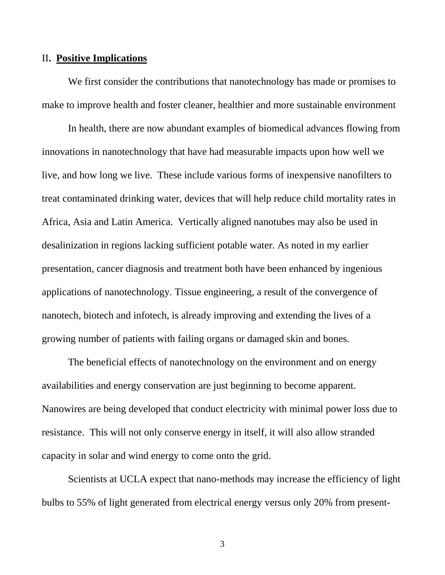## II**. Positive Implications**

We first consider the contributions that nanotechnology has made or promises to make to improve health and foster cleaner, healthier and more sustainable environment

In health, there are now abundant examples of biomedical advances flowing from innovations in nanotechnology that have had measurable impacts upon how well we live, and how long we live. These include various forms of inexpensive nanofilters to treat contaminated drinking water, devices that will help reduce child mortality rates in Africa, Asia and Latin America. Vertically aligned nanotubes may also be used in desalinization in regions lacking sufficient potable water. As noted in my earlier presentation, cancer diagnosis and treatment both have been enhanced by ingenious applications of nanotechnology. Tissue engineering, a result of the convergence of nanotech, biotech and infotech, is already improving and extending the lives of a growing number of patients with failing organs or damaged skin and bones.

The beneficial effects of nanotechnology on the environment and on energy availabilities and energy conservation are just beginning to become apparent. Nanowires are being developed that conduct electricity with minimal power loss due to resistance. This will not only conserve energy in itself, it will also allow stranded capacity in solar and wind energy to come onto the grid.

Scientists at UCLA expect that nano-methods may increase the efficiency of light bulbs to 55% of light generated from electrical energy versus only 20% from present-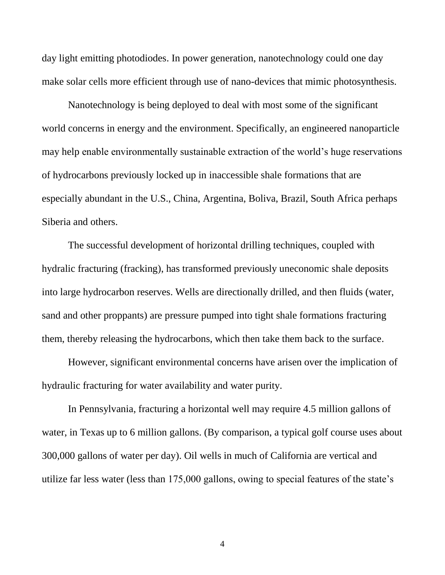day light emitting photodiodes. In power generation, nanotechnology could one day make solar cells more efficient through use of nano-devices that mimic photosynthesis.

Nanotechnology is being deployed to deal with most some of the significant world concerns in energy and the environment. Specifically, an engineered nanoparticle may help enable environmentally sustainable extraction of the world's huge reservations of hydrocarbons previously locked up in inaccessible shale formations that are especially abundant in the U.S., China, Argentina, Boliva, Brazil, South Africa perhaps Siberia and others.

The successful development of horizontal drilling techniques, coupled with hydralic fracturing (fracking), has transformed previously uneconomic shale deposits into large hydrocarbon reserves. Wells are directionally drilled, and then fluids (water, sand and other proppants) are pressure pumped into tight shale formations fracturing them, thereby releasing the hydrocarbons, which then take them back to the surface.

However, significant environmental concerns have arisen over the implication of hydraulic fracturing for water availability and water purity.

In Pennsylvania, fracturing a horizontal well may require 4.5 million gallons of water, in Texas up to 6 million gallons. (By comparison, a typical golf course uses about 300,000 gallons of water per day). Oil wells in much of California are vertical and utilize far less water (less than 175,000 gallons, owing to special features of the state's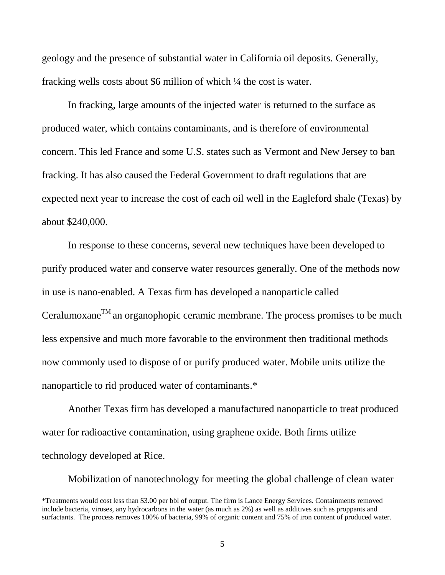geology and the presence of substantial water in California oil deposits. Generally, fracking wells costs about \$6 million of which ¼ the cost is water.

In fracking, large amounts of the injected water is returned to the surface as produced water, which contains contaminants, and is therefore of environmental concern. This led France and some U.S. states such as Vermont and New Jersey to ban fracking. It has also caused the Federal Government to draft regulations that are expected next year to increase the cost of each oil well in the Eagleford shale (Texas) by about \$240,000.

In response to these concerns, several new techniques have been developed to purify produced water and conserve water resources generally. One of the methods now in use is nano-enabled. A Texas firm has developed a nanoparticle called Ceralumoxane<sup>TM</sup> an organophopic ceramic membrane. The process promises to be much less expensive and much more favorable to the environment then traditional methods now commonly used to dispose of or purify produced water. Mobile units utilize the nanoparticle to rid produced water of contaminants.\*

Another Texas firm has developed a manufactured nanoparticle to treat produced water for radioactive contamination, using graphene oxide. Both firms utilize technology developed at Rice.

Mobilization of nanotechnology for meeting the global challenge of clean water \*Treatments would cost less than \$3.00 per bbl of output. The firm is Lance Energy Services. Containments removed include bacteria, viruses, any hydrocarbons in the water (as much as 2%) as well as additives such as proppants and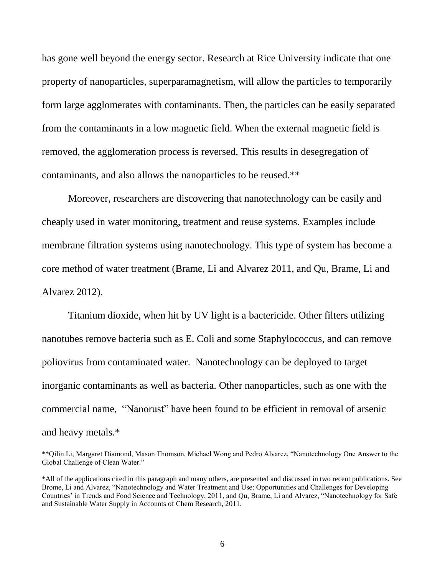has gone well beyond the energy sector. Research at Rice University indicate that one property of nanoparticles, superparamagnetism, will allow the particles to temporarily form large agglomerates with contaminants. Then, the particles can be easily separated from the contaminants in a low magnetic field. When the external magnetic field is removed, the agglomeration process is reversed. This results in desegregation of contaminants, and also allows the nanoparticles to be reused.\*\*

Moreover, researchers are discovering that nanotechnology can be easily and cheaply used in water monitoring, treatment and reuse systems. Examples include membrane filtration systems using nanotechnology. This type of system has become a core method of water treatment (Brame, Li and Alvarez 2011, and Qu, Brame, Li and Alvarez 2012).

Titanium dioxide, when hit by UV light is a bactericide. Other filters utilizing nanotubes remove bacteria such as E. Coli and some Staphylococcus, and can remove poliovirus from contaminated water. Nanotechnology can be deployed to target inorganic contaminants as well as bacteria. Other nanoparticles, such as one with the commercial name, "Nanorust" have been found to be efficient in removal of arsenic and heavy metals.\*

<sup>\*\*</sup>Qilin Li, Margaret Diamond, Mason Thomson, Michael Wong and Pedro Alvarez, "Nanotechnology One Answer to the Global Challenge of Clean Water."

<sup>\*</sup>All of the applications cited in this paragraph and many others, are presented and discussed in two recent publications. See Brome, Li and Alvarez, "Nanotechnology and Water Treatment and Use: Opportunities and Challenges for Developing Countries' in Trends and Food Science and Technology, 2011, and Qu, Brame, Li and Alvarez, "Nanotechnology for Safe and Sustainable Water Supply in Accounts of Chem Research, 2011.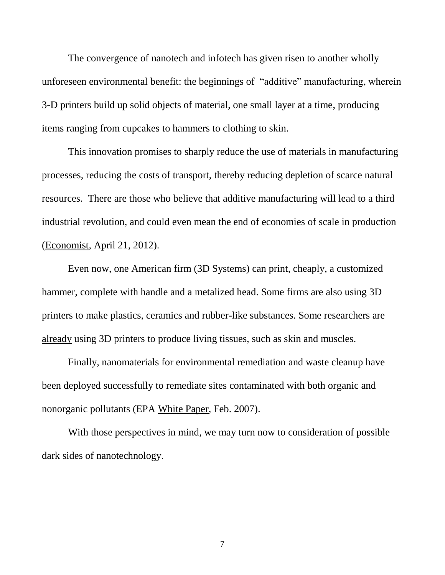The convergence of nanotech and infotech has given risen to another wholly unforeseen environmental benefit: the beginnings of "additive" manufacturing, wherein 3-D printers build up solid objects of material, one small layer at a time, producing items ranging from cupcakes to hammers to clothing to skin.

This innovation promises to sharply reduce the use of materials in manufacturing processes, reducing the costs of transport, thereby reducing depletion of scarce natural resources. There are those who believe that additive manufacturing will lead to a third industrial revolution, and could even mean the end of economies of scale in production (Economist, April 21, 2012).

Even now, one American firm (3D Systems) can print, cheaply, a customized hammer, complete with handle and a metalized head. Some firms are also using 3D printers to make plastics, ceramics and rubber-like substances. Some researchers are already using 3D printers to produce living tissues, such as skin and muscles.

Finally, nanomaterials for environmental remediation and waste cleanup have been deployed successfully to remediate sites contaminated with both organic and nonorganic pollutants (EPA White Paper, Feb. 2007).

With those perspectives in mind, we may turn now to consideration of possible dark sides of nanotechnology.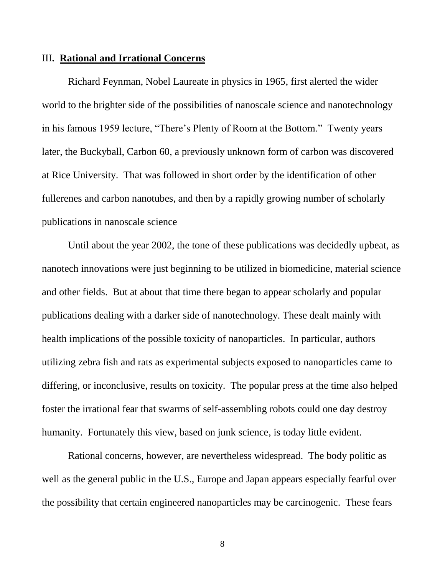### III**. Rational and Irrational Concerns**

Richard Feynman, Nobel Laureate in physics in 1965, first alerted the wider world to the brighter side of the possibilities of nanoscale science and nanotechnology in his famous 1959 lecture, "There's Plenty of Room at the Bottom." Twenty years later, the Buckyball, Carbon 60, a previously unknown form of carbon was discovered at Rice University. That was followed in short order by the identification of other fullerenes and carbon nanotubes, and then by a rapidly growing number of scholarly publications in nanoscale science

Until about the year 2002, the tone of these publications was decidedly upbeat, as nanotech innovations were just beginning to be utilized in biomedicine, material science and other fields. But at about that time there began to appear scholarly and popular publications dealing with a darker side of nanotechnology. These dealt mainly with health implications of the possible toxicity of nanoparticles. In particular, authors utilizing zebra fish and rats as experimental subjects exposed to nanoparticles came to differing, or inconclusive, results on toxicity. The popular press at the time also helped foster the irrational fear that swarms of self-assembling robots could one day destroy humanity. Fortunately this view, based on junk science, is today little evident.

Rational concerns, however, are nevertheless widespread. The body politic as well as the general public in the U.S., Europe and Japan appears especially fearful over the possibility that certain engineered nanoparticles may be carcinogenic. These fears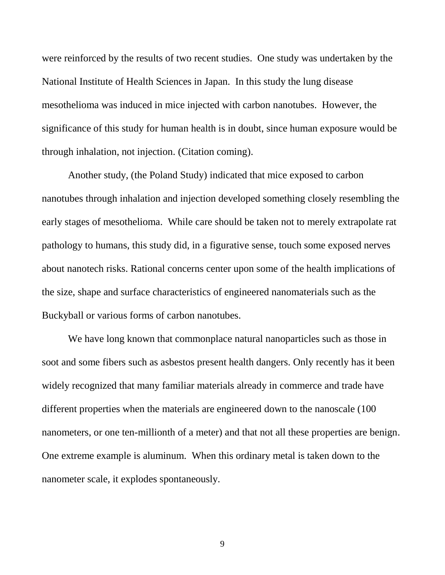were reinforced by the results of two recent studies. One study was undertaken by the National Institute of Health Sciences in Japan. In this study the lung disease mesothelioma was induced in mice injected with carbon nanotubes. However, the significance of this study for human health is in doubt, since human exposure would be through inhalation, not injection. (Citation coming).

Another study, (the Poland Study) indicated that mice exposed to carbon nanotubes through inhalation and injection developed something closely resembling the early stages of mesothelioma. While care should be taken not to merely extrapolate rat pathology to humans, this study did, in a figurative sense, touch some exposed nerves about nanotech risks. Rational concerns center upon some of the health implications of the size, shape and surface characteristics of engineered nanomaterials such as the Buckyball or various forms of carbon nanotubes.

We have long known that commonplace natural nanoparticles such as those in soot and some fibers such as asbestos present health dangers. Only recently has it been widely recognized that many familiar materials already in commerce and trade have different properties when the materials are engineered down to the nanoscale (100 nanometers, or one ten-millionth of a meter) and that not all these properties are benign. One extreme example is aluminum. When this ordinary metal is taken down to the nanometer scale, it explodes spontaneously.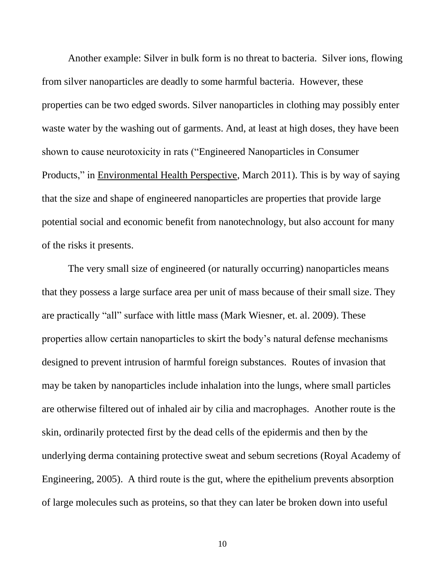Another example: Silver in bulk form is no threat to bacteria. Silver ions, flowing from silver nanoparticles are deadly to some harmful bacteria. However, these properties can be two edged swords. Silver nanoparticles in clothing may possibly enter waste water by the washing out of garments. And, at least at high doses, they have been shown to cause neurotoxicity in rats ("Engineered Nanoparticles in Consumer Products," in Environmental Health Perspective, March 2011). This is by way of saying that the size and shape of engineered nanoparticles are properties that provide large potential social and economic benefit from nanotechnology, but also account for many of the risks it presents.

The very small size of engineered (or naturally occurring) nanoparticles means that they possess a large surface area per unit of mass because of their small size. They are practically "all" surface with little mass (Mark Wiesner, et. al. 2009). These properties allow certain nanoparticles to skirt the body's natural defense mechanisms designed to prevent intrusion of harmful foreign substances. Routes of invasion that may be taken by nanoparticles include inhalation into the lungs, where small particles are otherwise filtered out of inhaled air by cilia and macrophages. Another route is the skin, ordinarily protected first by the dead cells of the epidermis and then by the underlying derma containing protective sweat and sebum secretions (Royal Academy of Engineering, 2005). A third route is the gut, where the epithelium prevents absorption of large molecules such as proteins, so that they can later be broken down into useful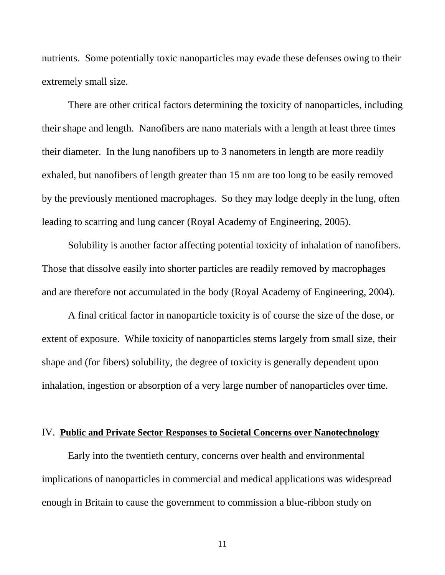nutrients. Some potentially toxic nanoparticles may evade these defenses owing to their extremely small size.

There are other critical factors determining the toxicity of nanoparticles, including their shape and length. Nanofibers are nano materials with a length at least three times their diameter. In the lung nanofibers up to 3 nanometers in length are more readily exhaled, but nanofibers of length greater than 15 nm are too long to be easily removed by the previously mentioned macrophages. So they may lodge deeply in the lung, often leading to scarring and lung cancer (Royal Academy of Engineering, 2005).

Solubility is another factor affecting potential toxicity of inhalation of nanofibers. Those that dissolve easily into shorter particles are readily removed by macrophages and are therefore not accumulated in the body (Royal Academy of Engineering, 2004).

A final critical factor in nanoparticle toxicity is of course the size of the dose, or extent of exposure. While toxicity of nanoparticles stems largely from small size, their shape and (for fibers) solubility, the degree of toxicity is generally dependent upon inhalation, ingestion or absorption of a very large number of nanoparticles over time.

## IV. **Public and Private Sector Responses to Societal Concerns over Nanotechnology**

Early into the twentieth century, concerns over health and environmental implications of nanoparticles in commercial and medical applications was widespread enough in Britain to cause the government to commission a blue-ribbon study on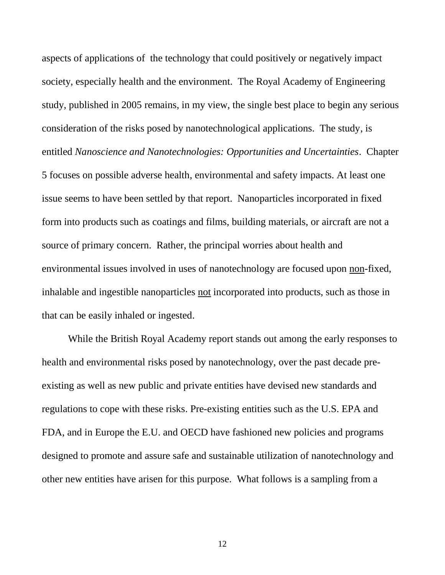aspects of applications of the technology that could positively or negatively impact society, especially health and the environment. The Royal Academy of Engineering study, published in 2005 remains, in my view, the single best place to begin any serious consideration of the risks posed by nanotechnological applications. The study, is entitled *Nanoscience and Nanotechnologies: Opportunities and Uncertainties*. Chapter 5 focuses on possible adverse health, environmental and safety impacts. At least one issue seems to have been settled by that report. Nanoparticles incorporated in fixed form into products such as coatings and films, building materials, or aircraft are not a source of primary concern. Rather, the principal worries about health and environmental issues involved in uses of nanotechnology are focused upon non-fixed, inhalable and ingestible nanoparticles not incorporated into products, such as those in that can be easily inhaled or ingested.

While the British Royal Academy report stands out among the early responses to health and environmental risks posed by nanotechnology, over the past decade preexisting as well as new public and private entities have devised new standards and regulations to cope with these risks. Pre-existing entities such as the U.S. EPA and FDA, and in Europe the E.U. and OECD have fashioned new policies and programs designed to promote and assure safe and sustainable utilization of nanotechnology and other new entities have arisen for this purpose. What follows is a sampling from a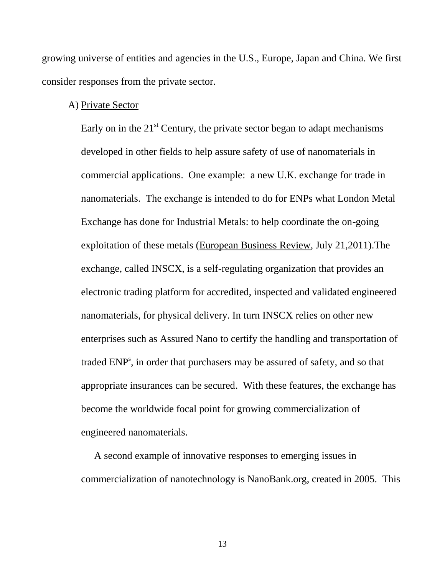growing universe of entities and agencies in the U.S., Europe, Japan and China. We first consider responses from the private sector.

## A) Private Sector

Early on in the  $21<sup>st</sup>$  Century, the private sector began to adapt mechanisms developed in other fields to help assure safety of use of nanomaterials in commercial applications. One example: a new U.K. exchange for trade in nanomaterials. The exchange is intended to do for ENPs what London Metal Exchange has done for Industrial Metals: to help coordinate the on-going exploitation of these metals (European Business Review, July 21,2011).The exchange, called INSCX, is a self-regulating organization that provides an electronic trading platform for accredited, inspected and validated engineered nanomaterials, for physical delivery. In turn INSCX relies on other new enterprises such as Assured Nano to certify the handling and transportation of traded ENP<sup>s</sup>, in order that purchasers may be assured of safety, and so that appropriate insurances can be secured. With these features, the exchange has become the worldwide focal point for growing commercialization of engineered nanomaterials.

A second example of innovative responses to emerging issues in commercialization of nanotechnology is NanoBank.org, created in 2005. This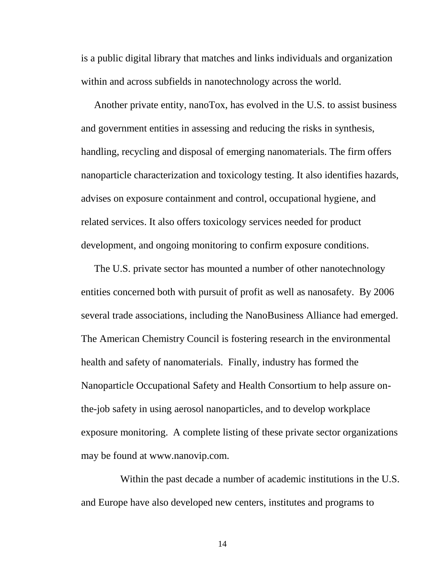is a public digital library that matches and links individuals and organization within and across subfields in nanotechnology across the world.

Another private entity, nanoTox, has evolved in the U.S. to assist business and government entities in assessing and reducing the risks in synthesis, handling, recycling and disposal of emerging nanomaterials. The firm offers nanoparticle characterization and toxicology testing. It also identifies hazards, advises on exposure containment and control, occupational hygiene, and related services. It also offers toxicology services needed for product development, and ongoing monitoring to confirm exposure conditions.

The U.S. private sector has mounted a number of other nanotechnology entities concerned both with pursuit of profit as well as nanosafety. By 2006 several trade associations, including the NanoBusiness Alliance had emerged. The American Chemistry Council is fostering research in the environmental health and safety of nanomaterials. Finally, industry has formed the Nanoparticle Occupational Safety and Health Consortium to help assure onthe-job safety in using aerosol nanoparticles, and to develop workplace exposure monitoring. A complete listing of these private sector organizations may be found at www.nanovip.com.

Within the past decade a number of academic institutions in the U.S. and Europe have also developed new centers, institutes and programs to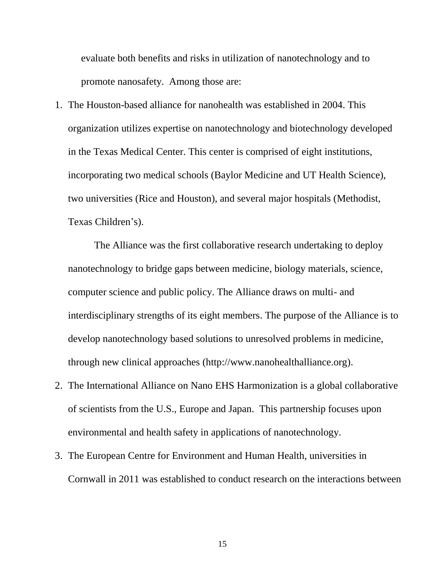evaluate both benefits and risks in utilization of nanotechnology and to promote nanosafety. Among those are:

1. The Houston-based alliance for nanohealth was established in 2004. This organization utilizes expertise on nanotechnology and biotechnology developed in the Texas Medical Center. This center is comprised of eight institutions, incorporating two medical schools (Baylor Medicine and UT Health Science), two universities (Rice and Houston), and several major hospitals (Methodist, Texas Children's).

The Alliance was the first collaborative research undertaking to deploy nanotechnology to bridge gaps between medicine, biology materials, science, computer science and public policy. The Alliance draws on multi- and interdisciplinary strengths of its eight members. The purpose of the Alliance is to develop nanotechnology based solutions to unresolved problems in medicine, through new clinical approaches (http://www.nanohealthalliance.org).

- 2. The International Alliance on Nano EHS Harmonization is a global collaborative of scientists from the U.S., Europe and Japan. This partnership focuses upon environmental and health safety in applications of nanotechnology.
- 3. The European Centre for Environment and Human Health, universities in Cornwall in 2011 was established to conduct research on the interactions between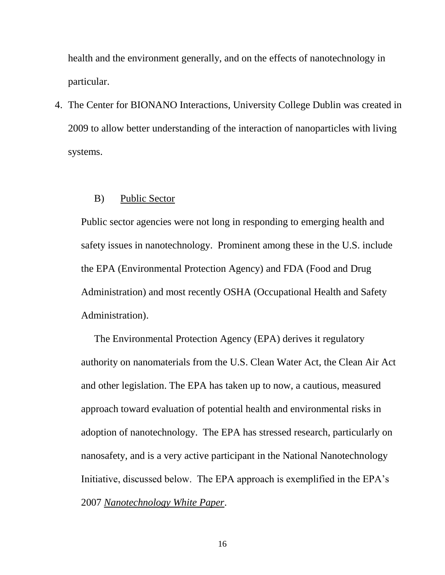health and the environment generally, and on the effects of nanotechnology in particular.

4. The Center for BIONANO Interactions, University College Dublin was created in 2009 to allow better understanding of the interaction of nanoparticles with living systems.

### B) Public Sector

Public sector agencies were not long in responding to emerging health and safety issues in nanotechnology. Prominent among these in the U.S. include the EPA (Environmental Protection Agency) and FDA (Food and Drug Administration) and most recently OSHA (Occupational Health and Safety Administration).

The Environmental Protection Agency (EPA) derives it regulatory authority on nanomaterials from the U.S. Clean Water Act, the Clean Air Act and other legislation. The EPA has taken up to now, a cautious, measured approach toward evaluation of potential health and environmental risks in adoption of nanotechnology. The EPA has stressed research, particularly on nanosafety, and is a very active participant in the National Nanotechnology Initiative, discussed below. The EPA approach is exemplified in the EPA's 2007 *Nanotechnology White Paper*.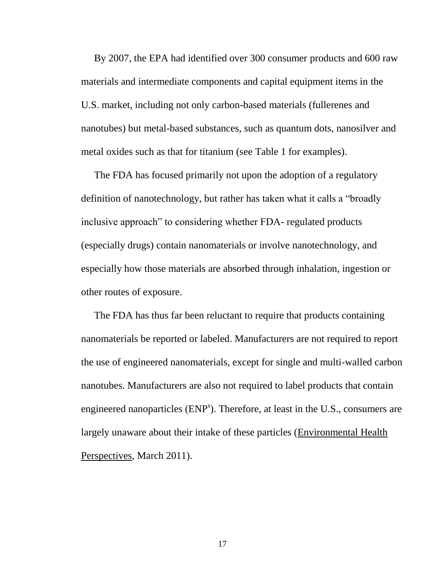By 2007, the EPA had identified over 300 consumer products and 600 raw materials and intermediate components and capital equipment items in the U.S. market, including not only carbon-based materials (fullerenes and nanotubes) but metal-based substances, such as quantum dots, nanosilver and metal oxides such as that for titanium (see Table 1 for examples).

The FDA has focused primarily not upon the adoption of a regulatory definition of nanotechnology, but rather has taken what it calls a "broadly inclusive approach" to considering whether FDA- regulated products (especially drugs) contain nanomaterials or involve nanotechnology, and especially how those materials are absorbed through inhalation, ingestion or other routes of exposure.

The FDA has thus far been reluctant to require that products containing nanomaterials be reported or labeled. Manufacturers are not required to report the use of engineered nanomaterials, except for single and multi-walled carbon nanotubes. Manufacturers are also not required to label products that contain engineered nanoparticles (ENP<sup>s</sup>). Therefore, at least in the U.S., consumers are largely unaware about their intake of these particles (Environmental Health Perspectives, March 2011).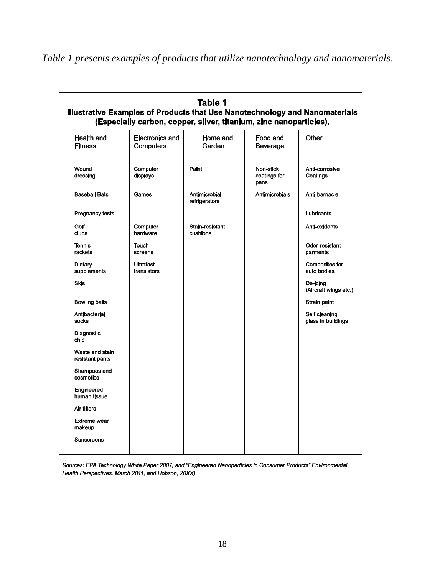| Health and                         | <b>Electronics and</b>          | Home and                       | Food and             | Other                                |
|------------------------------------|---------------------------------|--------------------------------|----------------------|--------------------------------------|
| <b>Fitness</b>                     | <b>Computers</b>                | Garden                         | Beverage             |                                      |
| Wound                              | Computer                        | Paint                          | Non-stick            | Anti-corrosive                       |
| dressing                           | displays                        |                                | coatings for<br>pans | Coatings                             |
| <b>Baseball Bats</b>               | Games                           | Antimicrobial<br>refrigerators | Antimicrobials       | Anti-barnacle                        |
| <b>Pregnancy tests</b>             |                                 |                                |                      | Lubricants                           |
| Golf<br>clubs                      | Computer<br>hardware            | Stain-resistant<br>cushions    |                      | Anti-oxidants                        |
| <b>Tennis</b><br>rackets           | <b>Touch</b><br>screens         |                                |                      | Odor-resistant<br>garments           |
| <b>Dietary</b><br>supplements      | <b>Ultrafast</b><br>transistors |                                |                      | <b>Composites for</b><br>auto bodies |
| <b>Skis</b>                        |                                 |                                |                      | De-icina<br>(Aircraft wings etc.)    |
| <b>Bowling balls</b>               |                                 |                                |                      | Strain paint                         |
| Antibacterial<br>socks             |                                 |                                |                      | Self cleaning<br>glass in buildings  |
| Diagnostic<br>chip                 |                                 |                                |                      |                                      |
| Waste and stain<br>resistant pants |                                 |                                |                      |                                      |
| Shampoos and<br>cosmetics          |                                 |                                |                      |                                      |
| Engineered<br>human tissue         |                                 |                                |                      |                                      |
| Air filters                        |                                 |                                |                      |                                      |
| <b>Extreme wear</b><br>makeup      |                                 |                                |                      |                                      |

*Table 1 presents examples of products that utilize nanotechnology and nanomaterials*.

Sources: EPA Technology White Paper 2007, and "Engineered Nanoparticles in Consumer Products" Environmental Health Perspectives, March 2011, and Hobson, 20XX).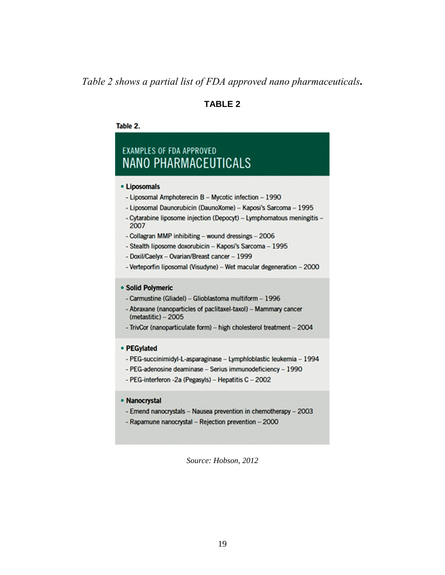## *Table 2 shows a partial list of FDA approved nano pharmaceuticals.*

## **TABLE 2**

### Table 2.

# **EXAMPLES OF FDA APPROVED NANO PHARMACEUTICALS**

### • Liposomals

- Liposomal Amphoterecin B Mycotic infection 1990
- Liposomal Daunorubicin (DaunoXome) Kaposi's Sarcoma 1995
- Cytarabine liposome injection (Depocyt) Lymphomatous meningitis -2007
- Collagran MMP inhibiting wound dressings 2006
- Stealth liposome doxorubicin Kaposi's Sarcoma 1995
- Doxil/Caelyx Ovarian/Breast cancer 1999
- Verteporfin liposomal (Visudyne) Wet macular degeneration 2000

### • Solid Polymeric

- Carmustine (Gliadel) Glioblastoma multiform 1996
- Abraxane (nanoparticles of paclitaxel-taxol) Mammary cancer  $(metastic) - 2005$
- TrivCor (nanoparticulate form) high cholesterol treatment 2004

### • PEGylated

- PEG-succinimidyl-L-asparaginase Lymphloblastic leukemia 1994
- PEG-adenosine deaminase Serius immunodeficiency 1990
- PEG-interferon -2a (Pegasyls) Hepatitis C 2002

### • Nanocrystal

- Emend nanocrystals Nausea prevention in chemotherapy 2003
- Rapamune nanocrystal Rejection prevention 2000

*Source: Hobson, 2012*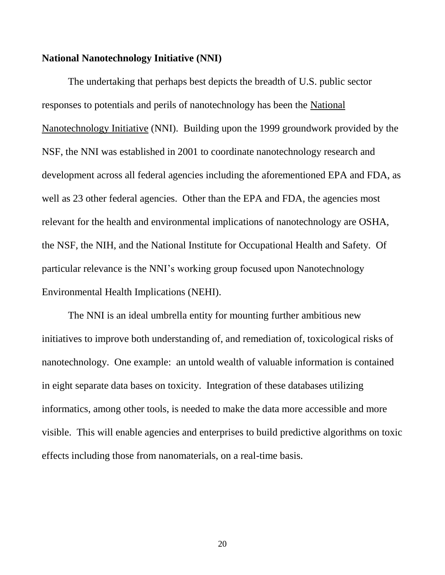## **National Nanotechnology Initiative (NNI)**

The undertaking that perhaps best depicts the breadth of U.S. public sector responses to potentials and perils of nanotechnology has been the National Nanotechnology Initiative (NNI). Building upon the 1999 groundwork provided by the NSF, the NNI was established in 2001 to coordinate nanotechnology research and development across all federal agencies including the aforementioned EPA and FDA, as well as 23 other federal agencies. Other than the EPA and FDA, the agencies most relevant for the health and environmental implications of nanotechnology are OSHA, the NSF, the NIH, and the National Institute for Occupational Health and Safety. Of particular relevance is the NNI's working group focused upon Nanotechnology Environmental Health Implications (NEHI).

The NNI is an ideal umbrella entity for mounting further ambitious new initiatives to improve both understanding of, and remediation of, toxicological risks of nanotechnology. One example: an untold wealth of valuable information is contained in eight separate data bases on toxicity. Integration of these databases utilizing informatics, among other tools, is needed to make the data more accessible and more visible. This will enable agencies and enterprises to build predictive algorithms on toxic effects including those from nanomaterials, on a real-time basis.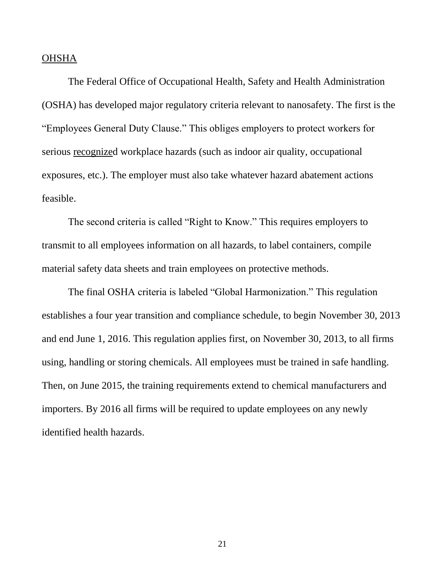### **OHSHA**

The Federal Office of Occupational Health, Safety and Health Administration (OSHA) has developed major regulatory criteria relevant to nanosafety. The first is the "Employees General Duty Clause." This obliges employers to protect workers for serious recognized workplace hazards (such as indoor air quality, occupational exposures, etc.). The employer must also take whatever hazard abatement actions feasible.

The second criteria is called "Right to Know." This requires employers to transmit to all employees information on all hazards, to label containers, compile material safety data sheets and train employees on protective methods.

The final OSHA criteria is labeled "Global Harmonization." This regulation establishes a four year transition and compliance schedule, to begin November 30, 2013 and end June 1, 2016. This regulation applies first, on November 30, 2013, to all firms using, handling or storing chemicals. All employees must be trained in safe handling. Then, on June 2015, the training requirements extend to chemical manufacturers and importers. By 2016 all firms will be required to update employees on any newly identified health hazards.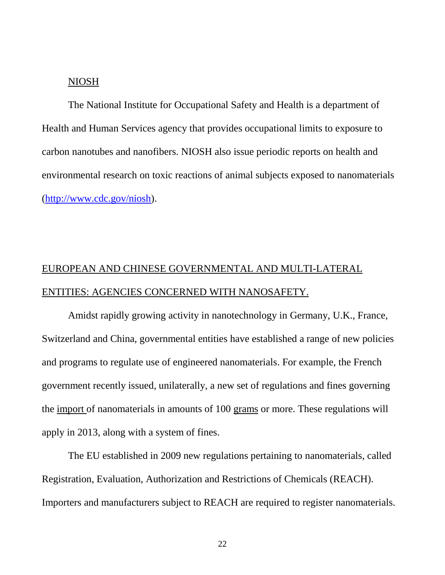## NIOSH

The National Institute for Occupational Safety and Health is a department of Health and Human Services agency that provides occupational limits to exposure to carbon nanotubes and nanofibers. NIOSH also issue periodic reports on health and environmental research on toxic reactions of animal subjects exposed to nanomaterials [\(http://www.cdc.gov/niosh\)](http://www.cdc.gov/niosh).

## EUROPEAN AND CHINESE GOVERNMENTAL AND MULTI-LATERAL ENTITIES: AGENCIES CONCERNED WITH NANOSAFETY.

Amidst rapidly growing activity in nanotechnology in Germany, U.K., France, Switzerland and China, governmental entities have established a range of new policies and programs to regulate use of engineered nanomaterials. For example, the French government recently issued, unilaterally, a new set of regulations and fines governing the import of nanomaterials in amounts of 100 grams or more. These regulations will apply in 2013, along with a system of fines.

The EU established in 2009 new regulations pertaining to nanomaterials, called Registration, Evaluation, Authorization and Restrictions of Chemicals (REACH). Importers and manufacturers subject to REACH are required to register nanomaterials.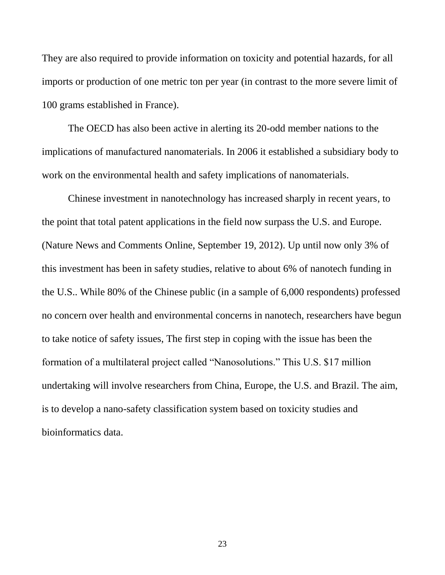They are also required to provide information on toxicity and potential hazards, for all imports or production of one metric ton per year (in contrast to the more severe limit of 100 grams established in France).

The OECD has also been active in alerting its 20-odd member nations to the implications of manufactured nanomaterials. In 2006 it established a subsidiary body to work on the environmental health and safety implications of nanomaterials.

Chinese investment in nanotechnology has increased sharply in recent years, to the point that total patent applications in the field now surpass the U.S. and Europe. (Nature News and Comments Online, September 19, 2012). Up until now only 3% of this investment has been in safety studies, relative to about 6% of nanotech funding in the U.S.. While 80% of the Chinese public (in a sample of 6,000 respondents) professed no concern over health and environmental concerns in nanotech, researchers have begun to take notice of safety issues, The first step in coping with the issue has been the formation of a multilateral project called "Nanosolutions." This U.S. \$17 million undertaking will involve researchers from China, Europe, the U.S. and Brazil. The aim, is to develop a nano-safety classification system based on toxicity studies and bioinformatics data.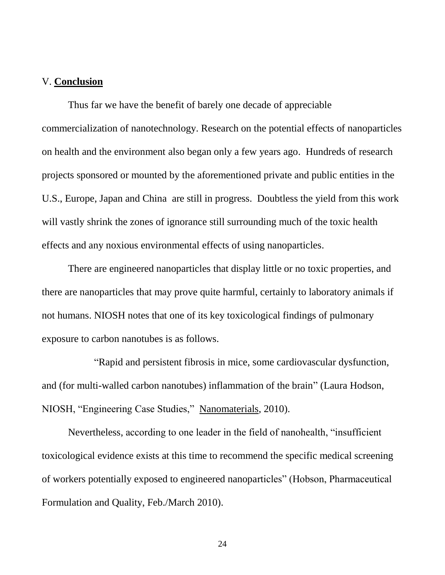## V. **Conclusion**

Thus far we have the benefit of barely one decade of appreciable commercialization of nanotechnology. Research on the potential effects of nanoparticles on health and the environment also began only a few years ago. Hundreds of research projects sponsored or mounted by the aforementioned private and public entities in the U.S., Europe, Japan and China are still in progress. Doubtless the yield from this work will vastly shrink the zones of ignorance still surrounding much of the toxic health effects and any noxious environmental effects of using nanoparticles.

There are engineered nanoparticles that display little or no toxic properties, and there are nanoparticles that may prove quite harmful, certainly to laboratory animals if not humans. NIOSH notes that one of its key toxicological findings of pulmonary exposure to carbon nanotubes is as follows.

"Rapid and persistent fibrosis in mice, some cardiovascular dysfunction, and (for multi-walled carbon nanotubes) inflammation of the brain" (Laura Hodson, NIOSH, "Engineering Case Studies," Nanomaterials, 2010).

Nevertheless, according to one leader in the field of nanohealth, "insufficient toxicological evidence exists at this time to recommend the specific medical screening of workers potentially exposed to engineered nanoparticles" (Hobson, Pharmaceutical Formulation and Quality, Feb./March 2010).